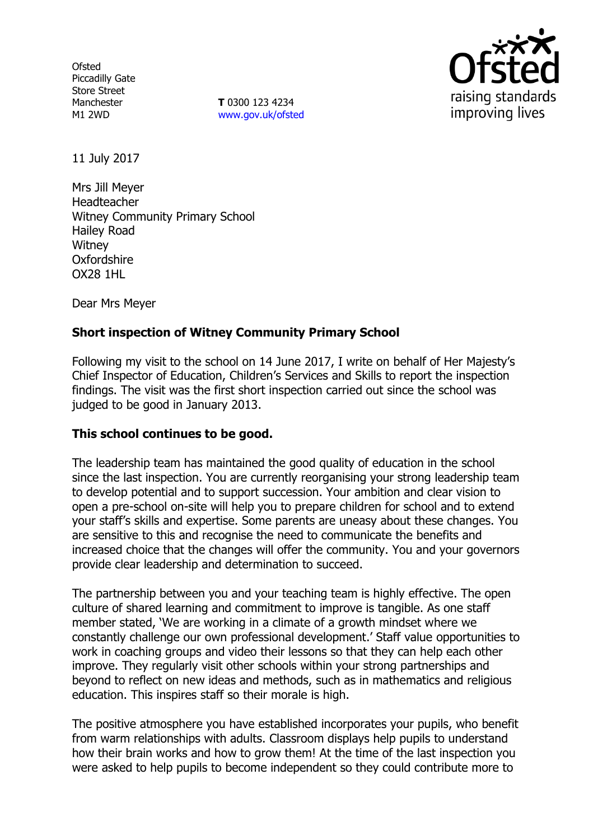**Ofsted** Piccadilly Gate Store Street Manchester M1 2WD

**T** 0300 123 4234 www.gov.uk/ofsted



11 July 2017

Mrs Jill Meyer Headteacher Witney Community Primary School Hailey Road **Witney Oxfordshire** OX28 1HL

Dear Mrs Meyer

# **Short inspection of Witney Community Primary School**

Following my visit to the school on 14 June 2017, I write on behalf of Her Majesty's Chief Inspector of Education, Children's Services and Skills to report the inspection findings. The visit was the first short inspection carried out since the school was judged to be good in January 2013.

# **This school continues to be good.**

The leadership team has maintained the good quality of education in the school since the last inspection. You are currently reorganising your strong leadership team to develop potential and to support succession. Your ambition and clear vision to open a pre-school on-site will help you to prepare children for school and to extend your staff's skills and expertise. Some parents are uneasy about these changes. You are sensitive to this and recognise the need to communicate the benefits and increased choice that the changes will offer the community. You and your governors provide clear leadership and determination to succeed.

The partnership between you and your teaching team is highly effective. The open culture of shared learning and commitment to improve is tangible. As one staff member stated, 'We are working in a climate of a growth mindset where we constantly challenge our own professional development.' Staff value opportunities to work in coaching groups and video their lessons so that they can help each other improve. They regularly visit other schools within your strong partnerships and beyond to reflect on new ideas and methods, such as in mathematics and religious education. This inspires staff so their morale is high.

The positive atmosphere you have established incorporates your pupils, who benefit from warm relationships with adults. Classroom displays help pupils to understand how their brain works and how to grow them! At the time of the last inspection you were asked to help pupils to become independent so they could contribute more to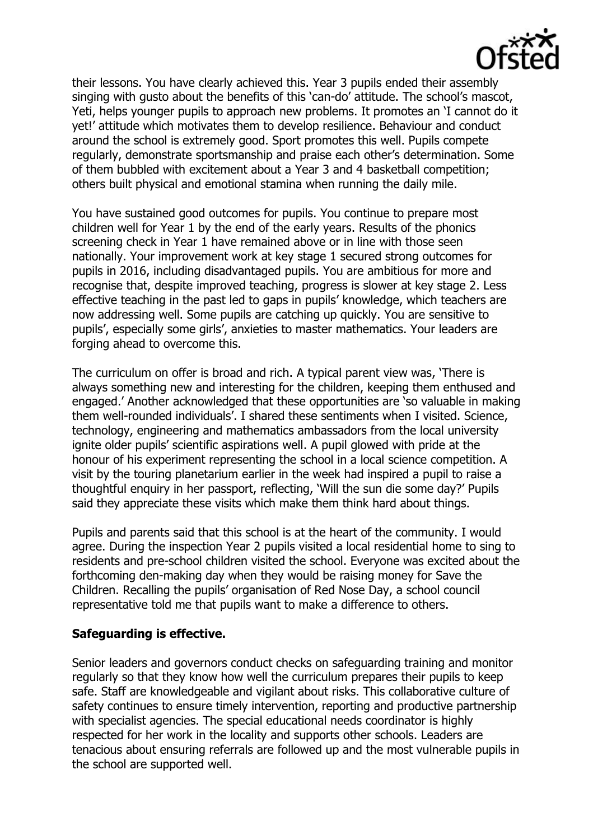

their lessons. You have clearly achieved this. Year 3 pupils ended their assembly singing with gusto about the benefits of this 'can-do' attitude. The school's mascot, Yeti, helps younger pupils to approach new problems. It promotes an 'I cannot do it yet!' attitude which motivates them to develop resilience. Behaviour and conduct around the school is extremely good. Sport promotes this well. Pupils compete regularly, demonstrate sportsmanship and praise each other's determination. Some of them bubbled with excitement about a Year 3 and 4 basketball competition; others built physical and emotional stamina when running the daily mile.

You have sustained good outcomes for pupils. You continue to prepare most children well for Year 1 by the end of the early years. Results of the phonics screening check in Year 1 have remained above or in line with those seen nationally. Your improvement work at key stage 1 secured strong outcomes for pupils in 2016, including disadvantaged pupils. You are ambitious for more and recognise that, despite improved teaching, progress is slower at key stage 2. Less effective teaching in the past led to gaps in pupils' knowledge, which teachers are now addressing well. Some pupils are catching up quickly. You are sensitive to pupils', especially some girls', anxieties to master mathematics. Your leaders are forging ahead to overcome this.

The curriculum on offer is broad and rich. A typical parent view was, 'There is always something new and interesting for the children, keeping them enthused and engaged.' Another acknowledged that these opportunities are 'so valuable in making them well-rounded individuals'. I shared these sentiments when I visited. Science, technology, engineering and mathematics ambassadors from the local university ignite older pupils' scientific aspirations well. A pupil glowed with pride at the honour of his experiment representing the school in a local science competition. A visit by the touring planetarium earlier in the week had inspired a pupil to raise a thoughtful enquiry in her passport, reflecting, 'Will the sun die some day?' Pupils said they appreciate these visits which make them think hard about things.

Pupils and parents said that this school is at the heart of the community. I would agree. During the inspection Year 2 pupils visited a local residential home to sing to residents and pre-school children visited the school. Everyone was excited about the forthcoming den-making day when they would be raising money for Save the Children. Recalling the pupils' organisation of Red Nose Day, a school council representative told me that pupils want to make a difference to others.

# **Safeguarding is effective.**

Senior leaders and governors conduct checks on safeguarding training and monitor regularly so that they know how well the curriculum prepares their pupils to keep safe. Staff are knowledgeable and vigilant about risks. This collaborative culture of safety continues to ensure timely intervention, reporting and productive partnership with specialist agencies. The special educational needs coordinator is highly respected for her work in the locality and supports other schools. Leaders are tenacious about ensuring referrals are followed up and the most vulnerable pupils in the school are supported well.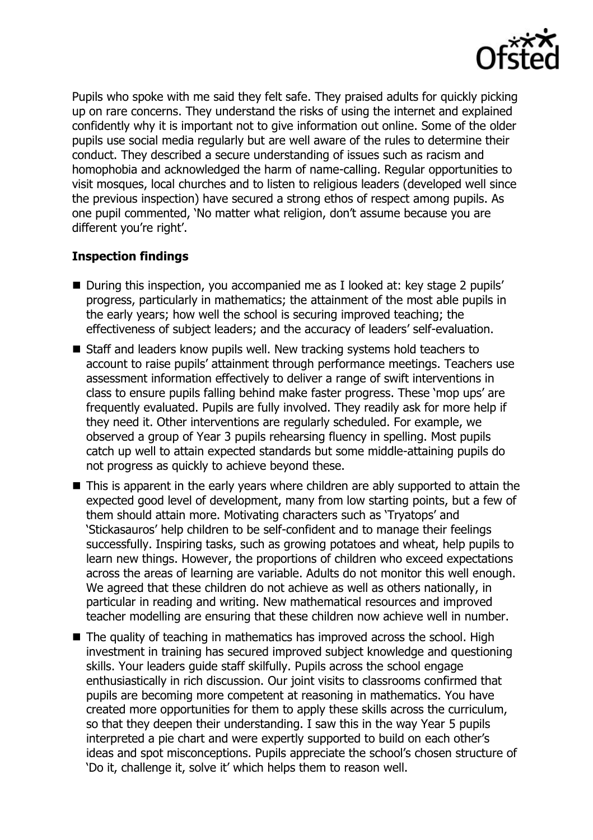

Pupils who spoke with me said they felt safe. They praised adults for quickly picking up on rare concerns. They understand the risks of using the internet and explained confidently why it is important not to give information out online. Some of the older pupils use social media regularly but are well aware of the rules to determine their conduct. They described a secure understanding of issues such as racism and homophobia and acknowledged the harm of name-calling. Regular opportunities to visit mosques, local churches and to listen to religious leaders (developed well since the previous inspection) have secured a strong ethos of respect among pupils. As one pupil commented, 'No matter what religion, don't assume because you are different you're right'.

# **Inspection findings**

- During this inspection, you accompanied me as I looked at: key stage 2 pupils' progress, particularly in mathematics; the attainment of the most able pupils in the early years; how well the school is securing improved teaching; the effectiveness of subject leaders; and the accuracy of leaders' self-evaluation.
- Staff and leaders know pupils well. New tracking systems hold teachers to account to raise pupils' attainment through performance meetings. Teachers use assessment information effectively to deliver a range of swift interventions in class to ensure pupils falling behind make faster progress. These 'mop ups' are frequently evaluated. Pupils are fully involved. They readily ask for more help if they need it. Other interventions are regularly scheduled. For example, we observed a group of Year 3 pupils rehearsing fluency in spelling. Most pupils catch up well to attain expected standards but some middle-attaining pupils do not progress as quickly to achieve beyond these.
- This is apparent in the early years where children are ably supported to attain the expected good level of development, many from low starting points, but a few of them should attain more. Motivating characters such as 'Tryatops' and 'Stickasauros' help children to be self-confident and to manage their feelings successfully. Inspiring tasks, such as growing potatoes and wheat, help pupils to learn new things. However, the proportions of children who exceed expectations across the areas of learning are variable. Adults do not monitor this well enough. We agreed that these children do not achieve as well as others nationally, in particular in reading and writing. New mathematical resources and improved teacher modelling are ensuring that these children now achieve well in number.
- The quality of teaching in mathematics has improved across the school. High investment in training has secured improved subject knowledge and questioning skills. Your leaders guide staff skilfully. Pupils across the school engage enthusiastically in rich discussion. Our joint visits to classrooms confirmed that pupils are becoming more competent at reasoning in mathematics. You have created more opportunities for them to apply these skills across the curriculum, so that they deepen their understanding. I saw this in the way Year 5 pupils interpreted a pie chart and were expertly supported to build on each other's ideas and spot misconceptions. Pupils appreciate the school's chosen structure of 'Do it, challenge it, solve it' which helps them to reason well.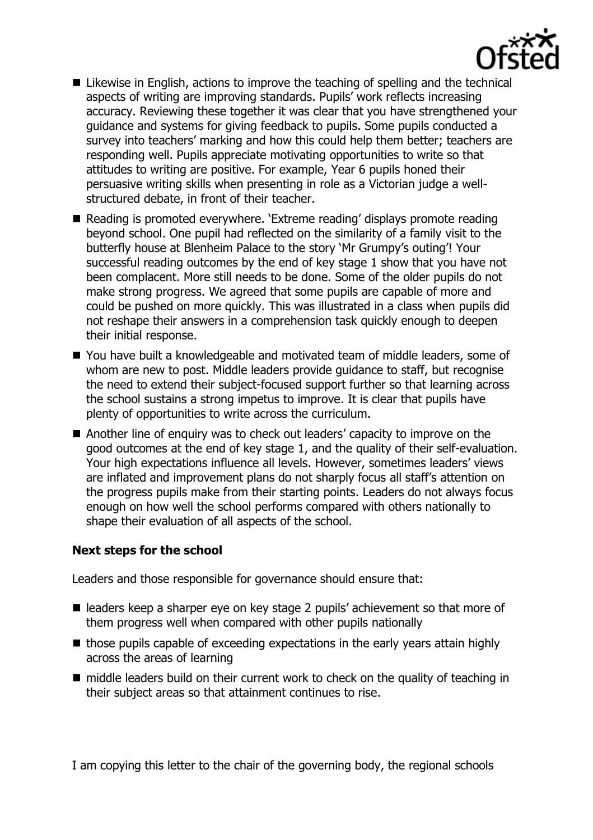

- Likewise in English, actions to improve the teaching of spelling and the technical aspects of writing are improving standards. Pupils' work reflects increasing accuracy. Reviewing these together it was clear that you have strengthened your guidance and systems for giving feedback to pupils. Some pupils conducted a survey into teachers' marking and how this could help them better; teachers are responding well. Pupils appreciate motivating opportunities to write so that attitudes to writing are positive. For example, Year 6 pupils honed their persuasive writing skills when presenting in role as a Victorian judge a wellstructured debate, in front of their teacher.
- Reading is promoted everywhere. 'Extreme reading' displays promote reading beyond school. One pupil had reflected on the similarity of a family visit to the butterfly house at Blenheim Palace to the story 'Mr Grumpy's outing'! Your successful reading outcomes by the end of key stage 1 show that you have not been complacent. More still needs to be done. Some of the older pupils do not make strong progress. We agreed that some pupils are capable of more and could be pushed on more quickly. This was illustrated in a class when pupils did not reshape their answers in a comprehension task quickly enough to deepen their initial response.
- You have built a knowledgeable and motivated team of middle leaders, some of whom are new to post. Middle leaders provide guidance to staff, but recognise the need to extend their subject-focused support further so that learning across the school sustains a strong impetus to improve. It is clear that pupils have plenty of opportunities to write across the curriculum.
- Another line of enquiry was to check out leaders' capacity to improve on the good outcomes at the end of key stage 1, and the quality of their self-evaluation. Your high expectations influence all levels. However, sometimes leaders' views are inflated and improvement plans do not sharply focus all staff's attention on the progress pupils make from their starting points. Leaders do not always focus enough on how well the school performs compared with others nationally to shape their evaluation of all aspects of the school.

# **Next steps for the school**

Leaders and those responsible for governance should ensure that:

- leaders keep a sharper eye on key stage 2 pupils' achievement so that more of them progress well when compared with other pupils nationally
- $\blacksquare$  those pupils capable of exceeding expectations in the early years attain highly across the areas of learning
- middle leaders build on their current work to check on the quality of teaching in their subject areas so that attainment continues to rise.

I am copying this letter to the chair of the governing body, the regional schools